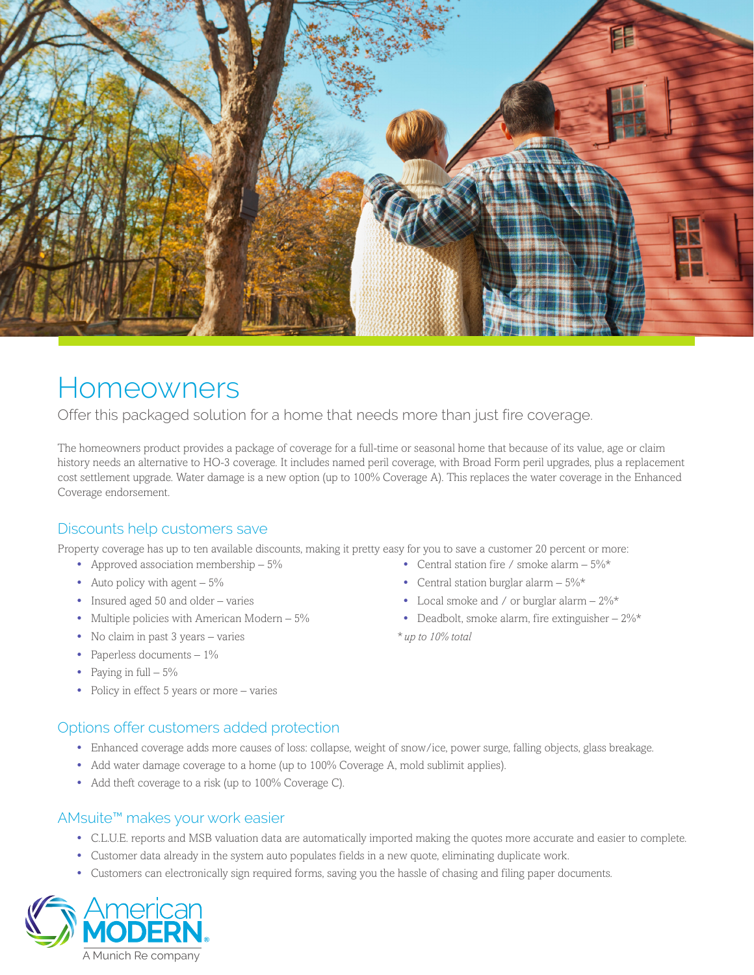

# Homeowners

Offer this packaged solution for a home that needs more than just fire coverage.

The homeowners product provides a package of coverage for a full-time or seasonal home that because of its value, age or claim history needs an alternative to HO-3 coverage. It includes named peril coverage, with Broad Form peril upgrades, plus a replacement cost settlement upgrade. Water damage is a new option (up to 100% Coverage A). This replaces the water coverage in the Enhanced Coverage endorsement.

### Discounts help customers save

Property coverage has up to ten available discounts, making it pretty easy for you to save a customer 20 percent or more:

- **•** Approved association membership 5%
- Auto policy with agent  $5\%$
- **•** Insured aged 50 and older varies
- Multiple policies with American Modern 5%
- **•** No claim in past 3 years varies
- **•** Paperless documents 1%
- **•** Paying in full 5%
- **•** Policy in effect 5 years or more varies

### Options offer customers added protection

- **•** Enhanced coverage adds more causes of loss: collapse, weight of snow/ice, power surge, falling objects, glass breakage.
- **•** Add water damage coverage to a home (up to 100% Coverage A, mold sublimit applies).
- **•** Add theft coverage to a risk (up to 100% Coverage C).

### AMsuite™ makes your work easier

- **•** C.L.U.E. reports and MSB valuation data are automatically imported making the quotes more accurate and easier to complete.
- **•** Customer data already in the system auto populates fields in a new quote, eliminating duplicate work.
- **•** Customers can electronically sign required forms, saving you the hassle of chasing and filing paper documents.



- **•** Central station fire / smoke alarm 5%\*
- **•** Central station burglar alarm 5%\*
- Local smoke and / or burglar alarm  $2\%$ \*
- **•** Deadbolt, smoke alarm, fire extinguisher 2%\*

*\* up to 10% total*